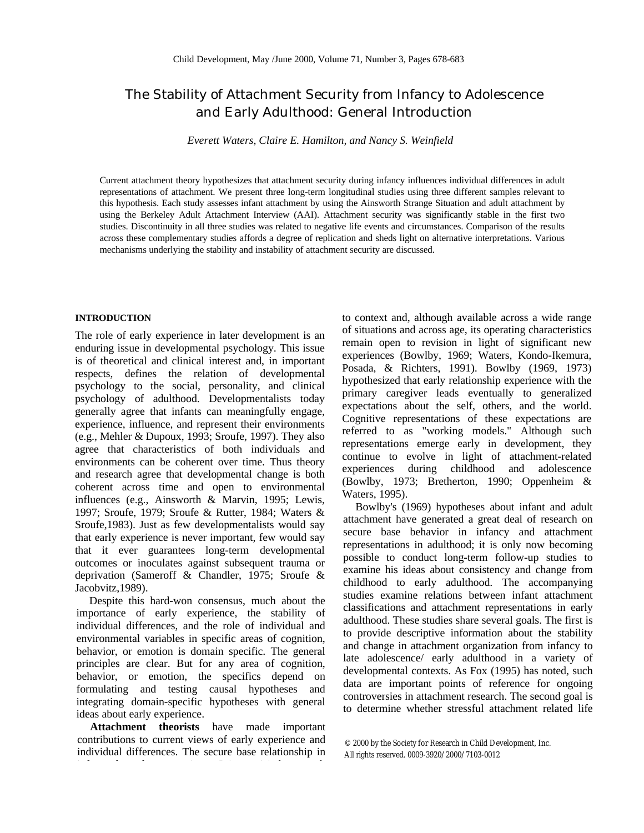# The Stability of Attachment Security from Infancy to Adolescence and Early Adulthood: General Introduction

*Everett Waters, Claire E. Hamilton, and Nancy S. Weinfield*

Current attachment theory hypothesizes that attachment security during infancy influences individual differences in adult representations of attachment. We present three long-term longitudinal studies using three different samples relevant to this hypothesis. Each study assesses infant attachment by using the Ainsworth Strange Situation and adult attachment by using the Berkeley Adult Attachment Interview (AAI). Attachment security was significantly stable in the first two studies. Discontinuity in all three studies was related to negative life events and circumstances. Comparison of the results across these complementary studies affords a degree of replication and sheds light on alternative interpretations. Various mechanisms underlying the stability and instability of attachment security are discussed.

## **INTRODUCTION**

The role of early experience in later development is an enduring issue in developmental psychology. This issue is of theoretical and clinical interest and, in important respects, defines the relation of developmental psychology to the social, personality, and clinical psychology of adulthood. Developmentalists today generally agree that infants can meaningfully engage, experience, influence, and represent their environments (e.g., Mehler & Dupoux, 1993; Sroufe, 1997). They also agree that characteristics of both individuals and environments can be coherent over time. Thus theory and research agree that developmental change is both coherent across time and open to environmental influences (e.g., Ainsworth & Marvin, 1995; Lewis, 1997; Sroufe, 1979; Sroufe & Rutter, 1984; Waters & Sroufe,1983). Just as few developmentalists would say that early experience is never important, few would say that it ever guarantees long-term developmental outcomes or inoculates against subsequent trauma or deprivation (Sameroff & Chandler, 1975; Sroufe & Jacobvitz,1989).

Despite this hard-won consensus, much about the importance of early experience, the stability of individual differences, and the role of individual and environmental variables in specific areas of cognition, behavior, or emotion is domain specific. The general principles are clear. But for any area of cognition, behavior, or emotion, the specifics depend on formulating and testing causal hypotheses and integrating domain-specific hypotheses with general ideas about early experience.

**Attachment theorists** have made important contributions to current views of early experience and individual differences. The secure base relationship in infancy depends on experience. It is exquisitely attuned

to context and, although available across a wide range of situations and across age, its operating characteristics remain open to revision in light of significant new experiences (Bowlby, 1969; Waters, Kondo-Ikemura, Posada, & Richters, 1991). Bowlby (1969, 1973) hypothesized that early relationship experience with the primary caregiver leads eventually to generalized expectations about the self, others, and the world. Cognitive representations of these expectations are referred to as "working models." Although such representations emerge early in development, they continue to evolve in light of attachment-related experiences during childhood and adolescence (Bowlby, 1973; Bretherton, 1990; Oppenheim & Waters, 1995).

Bowlby's (1969) hypotheses about infant and adult attachment have generated a great deal of research on secure base behavior in infancy and attachment representations in adulthood; it is only now becoming possible to conduct long-term follow-up studies to examine his ideas about consistency and change from childhood to early adulthood. The accompanying studies examine relations between infant attachment classifications and attachment representations in early adulthood. These studies share several goals. The first is to provide descriptive information about the stability and change in attachment organization from infancy to late adolescence/ early adulthood in a variety of developmental contexts. As Fox (1995) has noted, such data are important points of reference for ongoing controversies in attachment research. The second goal is to determine whether stressful attachment related life

<sup>© 2000</sup> by the Society for Research in Child Development, Inc. All rights reserved. 0009-3920/2000/7103-0012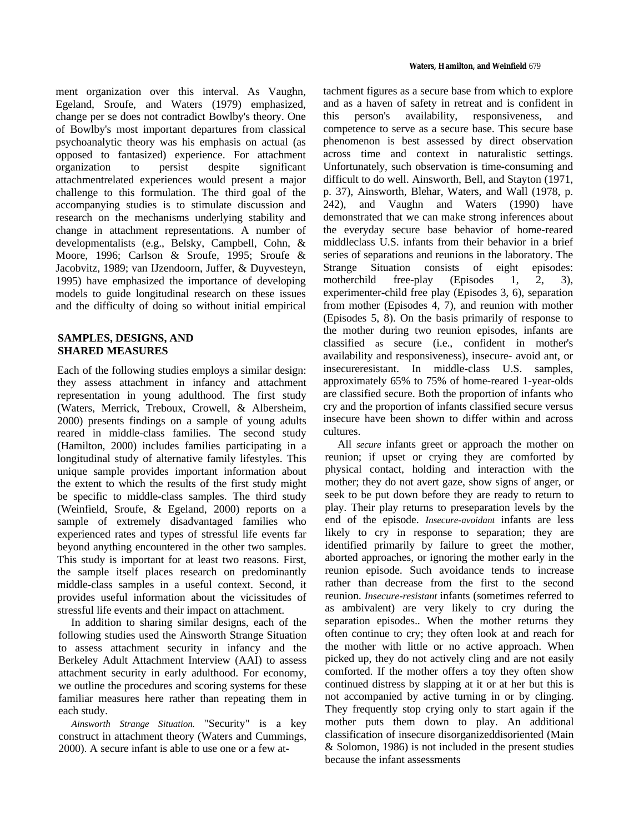ment organization over this interval. As Vaughn, Egeland, Sroufe, and Waters (1979) emphasized, change per se does not contradict Bowlby's theory. One of Bowlby's most important departures from classical psychoanalytic theory was his emphasis on actual (as opposed to fantasized) experience. For attachment organization to persist despite significant attachmentrelated experiences would present a major challenge to this formulation. The third goal of the accompanying studies is to stimulate discussion and research on the mechanisms underlying stability and change in attachment representations. A number of developmentalists (e.g., Belsky, Campbell, Cohn, & Moore, 1996; Carlson & Sroufe, 1995; Sroufe & Jacobvitz, 1989; van IJzendoorn, Juffer, & Duyvesteyn, 1995) have emphasized the importance of developing models to guide longitudinal research on these issues and the difficulty of doing so without initial empirical

## **SAMPLES, DESIGNS, AND SHARED MEASURES**

Each of the following studies employs a similar design: they assess attachment in infancy and attachment representation in young adulthood. The first study (Waters, Merrick, Treboux, Crowell, & Albersheim, 2000) presents findings on a sample of young adults reared in middle-class families. The second study (Hamilton, 2000) includes families participating in a longitudinal study of alternative family lifestyles. This unique sample provides important information about the extent to which the results of the first study might be specific to middle-class samples. The third study (Weinfield, Sroufe, & Egeland, 2000) reports on a sample of extremely disadvantaged families who experienced rates and types of stressful life events far beyond anything encountered in the other two samples. This study is important for at least two reasons. First, the sample itself places research on predominantly middle-class samples in a useful context. Second, it provides useful information about the vicissitudes of stressful life events and their impact on attachment.

In addition to sharing similar designs, each of the following studies used the Ainsworth Strange Situation to assess attachment security in infancy and the Berkeley Adult Attachment Interview (AAI) to assess attachment security in early adulthood. For economy, we outline the procedures and scoring systems for these familiar measures here rather than repeating them in each study.

*Ainsworth Strange Situation.* "Security" is a key construct in attachment theory (Waters and Cummings, 2000). A secure infant is able to use one or a few attachment figures as a secure base from which to explore and as a haven of safety in retreat and is confident in this person's availability, responsiveness, and competence to serve as a secure base. This secure base phenomenon is best assessed by direct observation across time and context in naturalistic settings. Unfortunately, such observation is time-consuming and difficult to do well. Ainsworth, Bell, and Stayton (1971, p. 37), Ainsworth, Blehar, Waters, and Wall (1978, p. 242), and Vaughn and Waters (1990) have demonstrated that we can make strong inferences about the everyday secure base behavior of home-reared middleclass U.S. infants from their behavior in a brief series of separations and reunions in the laboratory. The Strange Situation consists of eight episodes: motherchild free-play (Episodes 1, 2, 3), experimenter-child free play (Episodes 3, 6), separation from mother (Episodes 4, 7), and reunion with mother (Episodes 5, 8). On the basis primarily of response to the mother during two reunion episodes, infants are classified as secure (i.e., confident in mother's availability and responsiveness), insecure- avoid ant, or insecureresistant. In middle-class U.S. samples, approximately 65% to 75% of home-reared 1-year-olds are classified secure. Both the proportion of infants who cry and the proportion of infants classified secure versus insecure have been shown to differ within and across cultures.

All *secure* infants greet or approach the mother on reunion; if upset or crying they are comforted by physical contact, holding and interaction with the mother; they do not avert gaze, show signs of anger, or seek to be put down before they are ready to return to play. Their play returns to preseparation levels by the end of the episode. *Insecure-avoidant* infants are less likely to cry in response to separation; they are identified primarily by failure to greet the mother, aborted approaches, or ignoring the mother early in the reunion episode. Such avoidance tends to increase rather than decrease from the first to the second reunion. *Insecure-resistant* infants (sometimes referred to as ambivalent) are very likely to cry during the separation episodes.. When the mother returns they often continue to cry; they often look at and reach for the mother with little or no active approach. When picked up, they do not actively cling and are not easily comforted. If the mother offers a toy they often show continued distress by slapping at it or at her but this is not accompanied by active turning in or by clinging. They frequently stop crying only to start again if the mother puts them down to play. An additional classification of insecure disorganizeddisoriented (Main & Solomon, 1986) is not included in the present studies because the infant assessments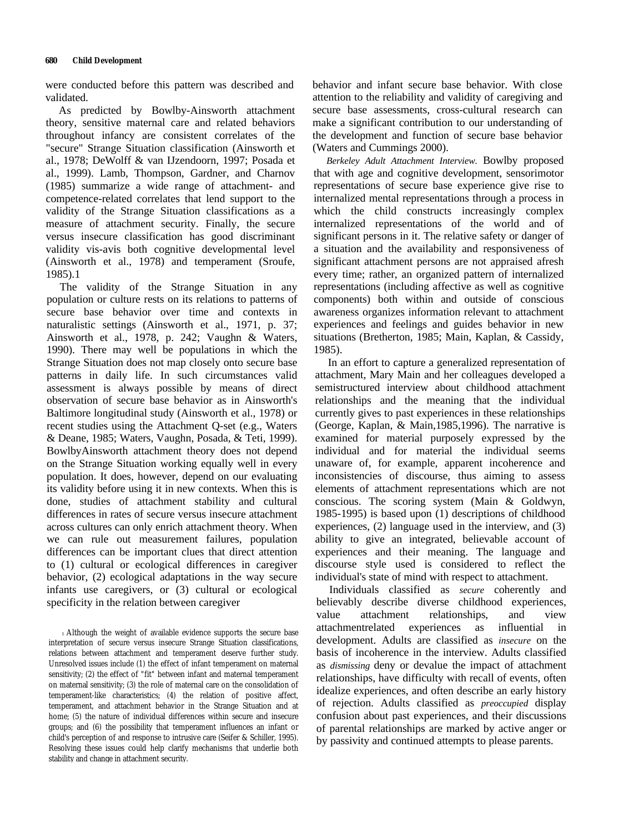were conducted before this pattern was described and validated.

As predicted by Bowlby-Ainsworth attachment theory, sensitive maternal care and related behaviors throughout infancy are consistent correlates of the "secure" Strange Situation classification (Ainsworth et al., 1978; DeWolff & van IJzendoorn, 1997; Posada et al., 1999). Lamb, Thompson, Gardner, and Charnov (1985) summarize a wide range of attachment- and competence-related correlates that lend support to the validity of the Strange Situation classifications as a measure of attachment security. Finally, the secure versus insecure classification has good discriminant validity vis-avis both cognitive developmental level (Ainsworth et al., 1978) and temperament (Sroufe, 1985).1

The validity of the Strange Situation in any population or culture rests on its relations to patterns of secure base behavior over time and contexts in naturalistic settings (Ainsworth et al., 1971, p. 37; Ainsworth et al., 1978, p. 242; Vaughn & Waters, 1990). There may well be populations in which the Strange Situation does not map closely onto secure base patterns in daily life. In such circumstances valid assessment is always possible by means of direct observation of secure base behavior as in Ainsworth's Baltimore longitudinal study (Ainsworth et al., 1978) or recent studies using the Attachment Q-set (e.g., Waters & Deane, 1985; Waters, Vaughn, Posada, & Teti, 1999). BowlbyAinsworth attachment theory does not depend on the Strange Situation working equally well in every population. It does, however, depend on our evaluating its validity before using it in new contexts. When this is done, studies of attachment stability and cultural differences in rates of secure versus insecure attachment across cultures can only enrich attachment theory. When we can rule out measurement failures, population differences can be important clues that direct attention to (1) cultural or ecological differences in caregiver behavior, (2) ecological adaptations in the way secure infants use caregivers, or (3) cultural or ecological specificity in the relation between caregiver

behavior and infant secure base behavior. With close attention to the reliability and validity of caregiving and secure base assessments, cross-cultural research can make a significant contribution to our understanding of the development and function of secure base behavior (Waters and Cummings 2000).

*Berkeley Adult Attachment Interview.* Bowlby proposed that with age and cognitive development, sensorimotor representations of secure base experience give rise to internalized mental representations through a process in which the child constructs increasingly complex internalized representations of the world and of significant persons in it. The relative safety or danger of a situation and the availability and responsiveness of significant attachment persons are not appraised afresh every time; rather, an organized pattern of internalized representations (including affective as well as cognitive components) both within and outside of conscious awareness organizes information relevant to attachment experiences and feelings and guides behavior in new situations (Bretherton, 1985; Main, Kaplan, & Cassidy, 1985).

In an effort to capture a generalized representation of attachment, Mary Main and her colleagues developed a semistructured interview about childhood attachment relationships and the meaning that the individual currently gives to past experiences in these relationships (George, Kaplan, & Main,1985,1996). The narrative is examined for material purposely expressed by the individual and for material the individual seems unaware of, for example, apparent incoherence and inconsistencies of discourse, thus aiming to assess elements of attachment representations which are not conscious. The scoring system (Main & Goldwyn, 1985-1995) is based upon (1) descriptions of childhood experiences, (2) language used in the interview, and (3) ability to give an integrated, believable account of experiences and their meaning. The language and discourse style used is considered to reflect the individual's state of mind with respect to attachment.

Individuals classified as *secure* coherently and believably describe diverse childhood experiences, value attachment relationships, and view attachmentrelated experiences as influential in development. Adults are classified as *insecure* on the basis of incoherence in the interview. Adults classified as *dismissing* deny or devalue the impact of attachment relationships, have difficulty with recall of events, often idealize experiences, and often describe an early history of rejection. Adults classified as *preoccupied* display confusion about past experiences, and their discussions of parental relationships are marked by active anger or by passivity and continued attempts to please parents.

<sup>1</sup>Although the weight of available evidence supports the secure base interpretation of secure versus insecure Strange Situation classifications, relations between attachment and temperament deserve further study. Unresolved issues include (1) the effect of infant temperament on maternal sensitivity; (2) the effect of "fit" between infant and maternal temperament on maternal sensitivity; (3) the role of maternal care on the consolidation of temperament-like characteristics; (4) the relation of positive affect, temperament, and attachment behavior in the Strange Situation and at home; (5) the nature of individual differences within secure and insecure groups; and (6) the possibility that temperament influences an infant or child's perception of and response to intrusive care (Seifer & Schiller, 1995). Resolving these issues could help clarify mechanisms that underlie both stability and change in attachment security.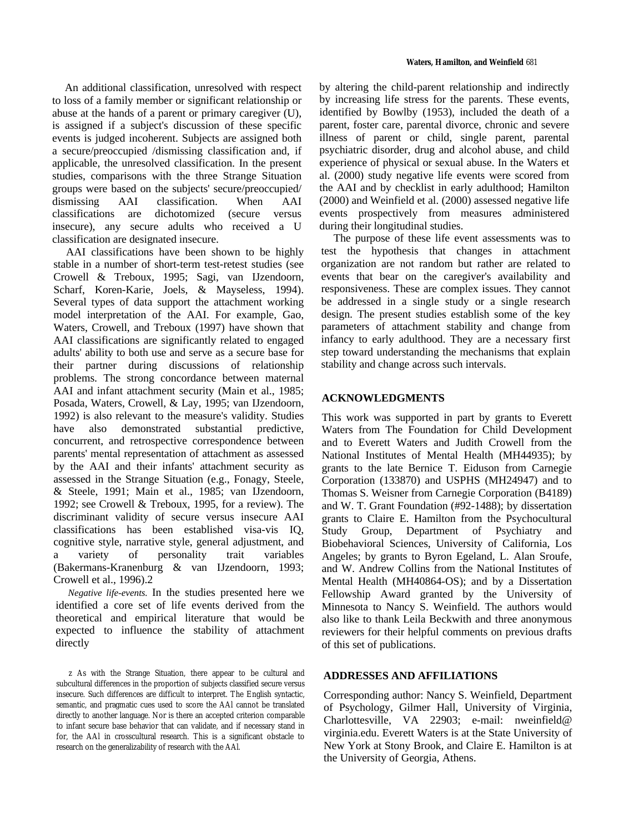An additional classification, unresolved with respect to loss of a family member or significant relationship or abuse at the hands of a parent or primary caregiver (U), is assigned if a subject's discussion of these specific events is judged incoherent. Subjects are assigned both a secure/preoccupied /dismissing classification and, if applicable, the unresolved classification. In the present studies, comparisons with the three Strange Situation groups were based on the subjects' secure/preoccupied/ dismissing AAI classification. When AAI classifications are dichotomized (secure versus insecure), any secure adults who received a U classification are designated insecure.

AAI classifications have been shown to be highly stable in a number of short-term test-retest studies (see Crowell & Treboux, 1995; Sagi, van IJzendoorn, Scharf, Koren-Karie, Joels, & Mayseless, 1994). Several types of data support the attachment working model interpretation of the AAI. For example, Gao, Waters, Crowell, and Treboux (1997) have shown that AAI classifications are significantly related to engaged adults' ability to both use and serve as a secure base for their partner during discussions of relationship problems. The strong concordance between maternal AAI and infant attachment security (Main et al., 1985; Posada, Waters, Crowell, & Lay, 1995; van IJzendoorn, 1992) is also relevant to the measure's validity. Studies have also demonstrated substantial predictive, concurrent, and retrospective correspondence between parents' mental representation of attachment as assessed by the AAI and their infants' attachment security as assessed in the Strange Situation (e.g., Fonagy, Steele, & Steele, 1991; Main et al., 1985; van IJzendoorn, 1992; see Crowell & Treboux, 1995, for a review). The discriminant validity of secure versus insecure AAI classifications has been established visa-vis IQ, cognitive style, narrative style, general adjustment, and a variety of personality trait variables (Bakermans-Kranenburg & van IJzendoorn, 1993; Crowell et al., 1996).2

*Negative life-events.* In the studies presented here we identified a core set of life events derived from the theoretical and empirical literature that would be expected to influence the stability of attachment directly

by altering the child-parent relationship and indirectly by increasing life stress for the parents. These events, identified by Bowlby (1953), included the death of a parent, foster care, parental divorce, chronic and severe illness of parent or child, single parent, parental psychiatric disorder, drug and alcohol abuse, and child experience of physical or sexual abuse. In the Waters et al. (2000) study negative life events were scored from the AAI and by checklist in early adulthood; Hamilton (2000) and Weinfield et al. (2000) assessed negative life events prospectively from measures administered during their longitudinal studies.

The purpose of these life event assessments was to test the hypothesis that changes in attachment organization are not random but rather are related to events that bear on the caregiver's availability and responsiveness. These are complex issues. They cannot be addressed in a single study or a single research design. The present studies establish some of the key parameters of attachment stability and change from infancy to early adulthood. They are a necessary first step toward understanding the mechanisms that explain stability and change across such intervals.

#### **ACKNOWLEDGMENTS**

This work was supported in part by grants to Everett Waters from The Foundation for Child Development and to Everett Waters and Judith Crowell from the National Institutes of Mental Health (MH44935); by grants to the late Bernice T. Eiduson from Carnegie Corporation (133870) and USPHS (MH24947) and to Thomas S. Weisner from Carnegie Corporation (B4189) and W. T. Grant Foundation (#92-1488); by dissertation grants to Claire E. Hamilton from the Psychocultural Study Group, Department of Psychiatry and Biobehavioral Sciences, University of California, Los Angeles; by grants to Byron Egeland, L. Alan Sroufe, and W. Andrew Collins from the National Institutes of Mental Health (MH40864-OS); and by a Dissertation Fellowship Award granted by the University of Minnesota to Nancy S. Weinfield. The authors would also like to thank Leila Beckwith and three anonymous reviewers for their helpful comments on previous drafts of this set of publications.

#### **ADDRESSES AND AFFILIATIONS**

Corresponding author: Nancy S. Weinfield, Department of Psychology, Gilmer Hall, University of Virginia, Charlottesville, VA 22903; e-mail: nweinfield@ virginia.edu. Everett Waters is at the State University of New York at Stony Brook, and Claire E. Hamilton is at the University of Georgia, Athens.

z As with the Strange Situation, there appear to be cultural and subcultural differences in the proportion of subjects classified secure versus insecure. Such differences are difficult to interpret. The English syntactic, semantic, and pragmatic cues used to score the AAl cannot be translated directly to another language. Nor is there an accepted criterion comparable to infant secure base behavior that can validate, and if necessary stand in for, the AAl in crosscultural research. This is a significant obstacle to research on the generalizability of research with the AAl.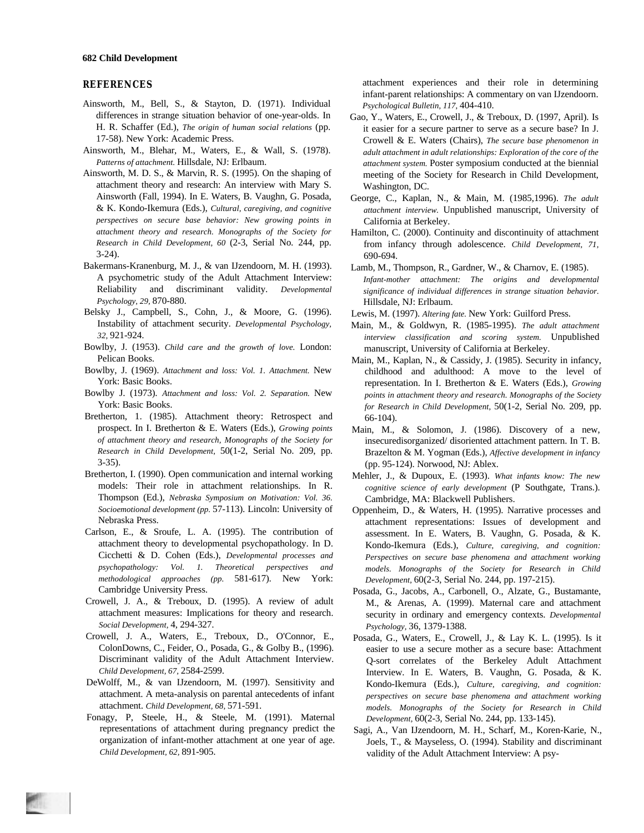#### **682 Child Development**

#### **REFERENCES**

- Ainsworth, M., Bell, S., & Stayton, D. (1971). Individual differences in strange situation behavior of one-year-olds. In H. R. Schaffer (Ed.), *The origin of human social relations* (pp. 17-58). New York: Academic Press.
- Ainsworth, M., Blehar, M., Waters, E., & Wall, S. (1978). *Patterns of attachment.* Hillsdale, NJ: Erlbaum.
- Ainsworth, M. D. S., & Marvin, R. S. (1995). On the shaping of attachment theory and research: An interview with Mary S. Ainsworth (Fall, 1994). In E. Waters, B. Vaughn, G. Posada, & K. Kondo-Ikemura (Eds.), *Cultural, caregiving, and cognitive perspectives on secure base behavior: New growing points in attachment theory and research. Monographs of the Society for Research in Child Development, 60* (2-3, Serial No. 244, pp. 3-24).
- Bakermans-Kranenburg, M. J., & van IJzendoorn, M. H. (1993). A psychometric study of the Adult Attachment Interview: Reliability and discriminant validity. *Developmental Psychology, 29,* 870-880.
- Belsky J., Campbell, S., Cohn, J., & Moore, G. (1996). Instability of attachment security. *Developmental Psychology, 32,* 921-924.
- Bowlby, J. (1953). *Child care and the growth of love.* London: Pelican Books.
- Bowlby, J. (1969). *Attachment and loss: Vol. 1. Attachment.* New York: Basic Books.
- Bowlby J. (1973). *Attachment and loss: Vol. 2. Separation.* New York: Basic Books.
- Bretherton, 1. (1985). Attachment theory: Retrospect and prospect. In I. Bretherton & E. Waters (Eds.), *Growing points of attachment theory and research, Monographs of the Society for Research in Child Development,* 50(1-2, Serial No. 209, pp. 3-35).
- Bretherton, I. (1990). Open communication and internal working models: Their role in attachment relationships. In R. Thompson (Ed.), *Nebraska Symposium on Motivation: Vol. 36. Socioemotional development (pp.* 57-113). Lincoln: University of Nebraska Press.
- Carlson, E., & Sroufe, L. A. (1995). The contribution of attachment theory to developmental psychopathology. In D. Cicchetti & D. Cohen (Eds.), *Developmental processes and psychopathology: Vol. 1. Theoretical perspectives and methodological approaches (pp.* 581-617). New York: Cambridge University Press.
- Crowell, J. A., & Treboux, D. (1995). A review of adult attachment measures: Implications for theory and research. *Social Development,* 4, 294-327.
- Crowell, J. A., Waters, E., Treboux, D., O'Connor, E., ColonDowns, C., Feider, O., Posada, G., & Golby B., (1996). Discriminant validity of the Adult Attachment Interview. *Child Development, 67,* 2584-2599.
- DeWolff, M., & van IJzendoorn, M. (1997). Sensitivity and attachment. A meta-analysis on parental antecedents of infant attachment. *Child Development, 68,* 571-591.
- Fonagy, P, Steele, H., & Steele, M. (1991). Maternal representations of attachment during pregnancy predict the organization of infant-mother attachment at one year of age. *Child Development, 62,* 891-905.

attachment experiences and their role in determining infant-parent relationships: A commentary on van IJzendoorn. *Psychological Bulletin, 117,* 404-410.

- Gao, Y., Waters, E., Crowell, J., & Treboux, D. (1997, April). Is it easier for a secure partner to serve as a secure base? In J. Crowell & E. Waters (Chairs), *The secure base phenomenon in adult attachment in adult relationships: Exploration of the core of the attachment system.* Poster symposium conducted at the biennial meeting of the Society for Research in Child Development, Washington, DC.
- George, C., Kaplan, N., & Main, M. (1985,1996). *The adult attachment interview.* Unpublished manuscript, University of California at Berkeley.
- Hamilton, C. (2000). Continuity and discontinuity of attachment from infancy through adolescence. *Child Development, 71,* 690-694.
- Lamb, M., Thompson, R., Gardner, W., & Charnov, E. (1985). *Infant-mother attachment: The origins and developmental significance of individual differences in strange situation behavior.* Hillsdale, NJ: Erlbaum.
- Lewis, M. (1997). *Altering fate.* New York: Guilford Press.
- Main, M., & Goldwyn, R. (1985-1995). *The adult attachment interview classification and scoring system.* Unpublished manuscript, University of California at Berkeley.
- Main, M., Kaplan, N., & Cassidy, J. (1985). Security in infancy, childhood and adulthood: A move to the level of representation. In I. Bretherton & E. Waters (Eds.), *Growing points in attachment theory and research. Monographs of the Society for Research in Child Development,* 50(1-2, Serial No. 209, pp. 66-104).
- Main, M., & Solomon, J. (1986). Discovery of a new, insecuredisorganized/ disoriented attachment pattern. In T. B. Brazelton & M. Yogman (Eds.), *Affective development in infancy* (pp. 95-124). Norwood, NJ: Ablex.
- Mehler, J., & Dupoux, E. (1993). *What infants know: The new cognitive science of early development* (P Southgate, Trans.). Cambridge, MA: Blackwell Publishers.
- Oppenheim, D., & Waters, H. (1995). Narrative processes and attachment representations: Issues of development and assessment. In E. Waters, B. Vaughn, G. Posada, & K. Kondo-Ikemura (Eds.), *Culture, caregiving, and cognition: Perspectives on secure base phenomena and attachment working models. Monographs of the Society for Research in Child Development,* 60(2-3, Serial No. 244, pp. 197-215).
- Posada, G., Jacobs, A., Carbonell, O., Alzate, G., Bustamante, M., & Arenas, A. (1999). Maternal care and attachment security in ordinary and emergency contexts. *Developmental Psychology,* 36, 1379-1388.
- Posada, G., Waters, E., Crowell, J., & Lay K. L. (1995). Is it easier to use a secure mother as a secure base: Attachment Q-sort correlates of the Berkeley Adult Attachment Interview. In E. Waters, B. Vaughn, G. Posada, & K. Kondo-Ikemura (Eds.), *Culture, caregiving, and cognition: perspectives on secure base phenomena and attachment working models. Monographs of the Society for Research in Child Development,* 60(2-3, Serial No. 244, pp. 133-145).
- Sagi, A., Van IJzendoorn, M. H., Scharf, M., Koren-Karie, N., Joels, T., & Mayseless, O. (1994). Stability and discriminant validity of the Adult Attachment Interview: A psy-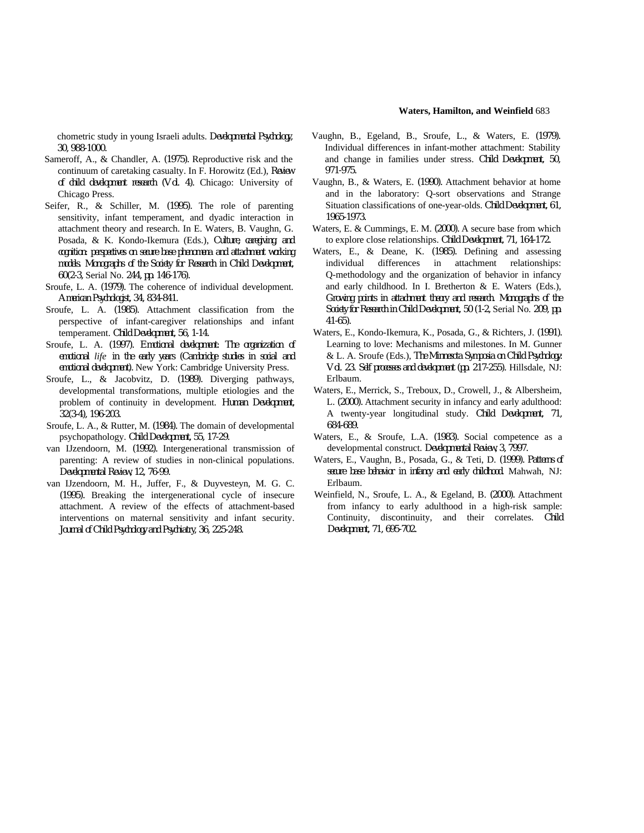chometric study in young Israeli adults. *Developmental Psychology, 30, 988-1000.*

- Sameroff, A., & Chandler, A. *(1975).* Reproductive risk and the continuum of caretaking casualty. In F. Horowitz (Ed.), *Review of child development research (Vol. 4).* Chicago: University of Chicago Press.
- Seifer, R., & Schiller, M. *(1995).* The role of parenting sensitivity, infant temperament, and dyadic interaction in attachment theory and research. In E. Waters, B. Vaughn, G. Posada, & K. Kondo-Ikemura (Eds.), *Culture, caregiving, and cognition: perspectives on secure base phenomena and attachment working models. Monographs of the Society for Research in Child Development, 60(2-3,* Serial No. *244, pp. 146-176).*
- Sroufe, L. A. *(1979).* The coherence of individual development. *American Psychologist, 34, 834-841.*
- Sroufe, L. A. *(1985).* Attachment classification from the perspective of infant-caregiver relationships and infant temperament. *Child Development, 56, 1-14.*
- Sroufe, L. A. *(1997). Emotional development: The organization of emotional life in the early years (Cambridge studies in social and emotional development).* New York: Cambridge University Press.
- Sroufe, L., & Jacobvitz, D. *(1989).* Diverging pathways, developmental transformations, multiple etiologies and the problem of continuity in development. *Human Development, 32(3-4), 196-203.*
- Sroufe, L. A., & Rutter, M. *(1984).* The domain of developmental psychopathology. *Child Development, 55, 17-29.*
- van IJzendoorn, M. *(1992).* Intergenerational transmission of parenting: A review of studies in non-clinical populations. *Developmental Review, 12, 76-99.*
- van IJzendoorn, M. H., Juffer, F., & Duyvesteyn, M. G. C. *(1995).* Breaking the intergenerational cycle of insecure attachment. A review of the effects of attachment-based interventions on maternal sensitivity and infant security. *Journal of Child Psychology and Psychiatry, 36, 225-248.*
- Vaughn, B., Egeland, B., Sroufe, L., & Waters, E. *(1979).* Individual differences in infant-mother attachment: Stability and change in families under stress. *Child Development, 50, 971-975.*
- Vaughn, B., & Waters, E. *(1990).* Attachment behavior at home and in the laboratory: Q-sort observations and Strange Situation classifications of one-year-olds. *Child Development, 61, 1965-1973.*
- Waters, E. & Cummings, E. M. *(2000).* A secure base from which to explore close relationships. *Child Development, 71, 164-172.*
- Waters, E., & Deane, K. *(1985).* Defining and assessing individual differences in attachment relationships: Q-methodology and the organization of behavior in infancy and early childhood. In I. Bretherton & E. Waters (Eds.), *Growing points in attachment theory and research. Monographs of the Society for Research in Child Development, 50 (1-2,* Serial No. *209, pp. 41-65).*
- Waters, E., Kondo-Ikemura, K., Posada, G., & Richters, J. *(1991).* Learning to love: Mechanisms and milestones. In M. Gunner & L. A. Sroufe (Eds.), *The Minnesota Symposia on Child Psychology: Vol. 23. Self processes and development (pp. 217-255).* Hillsdale, NJ: Erlbaum.
- Waters, E., Merrick, S., Treboux, D., Crowell, J., & Albersheim, L. *(2000).* Attachment security in infancy and early adulthood: A twenty-year longitudinal study. *Child Development, 71, 684-689.*
- Waters, E., & Sroufe, L.A. *(1983).* Social competence as a developmental construct. *Developmental Review, 3, 7997.*
- Waters, E., Vaughn, B., Posada, G., & Teti, D. *(1999). Patterns of secure base behavior in infancy and early childhood.* Mahwah, NJ: Erlbaum.
- Weinfield, N., Sroufe, L. A., & Egeland, B. *(2000).* Attachment from infancy to early adulthood in a high-risk sample: Continuity, discontinuity, and their correlates. *Child Development, 71, 695-702.*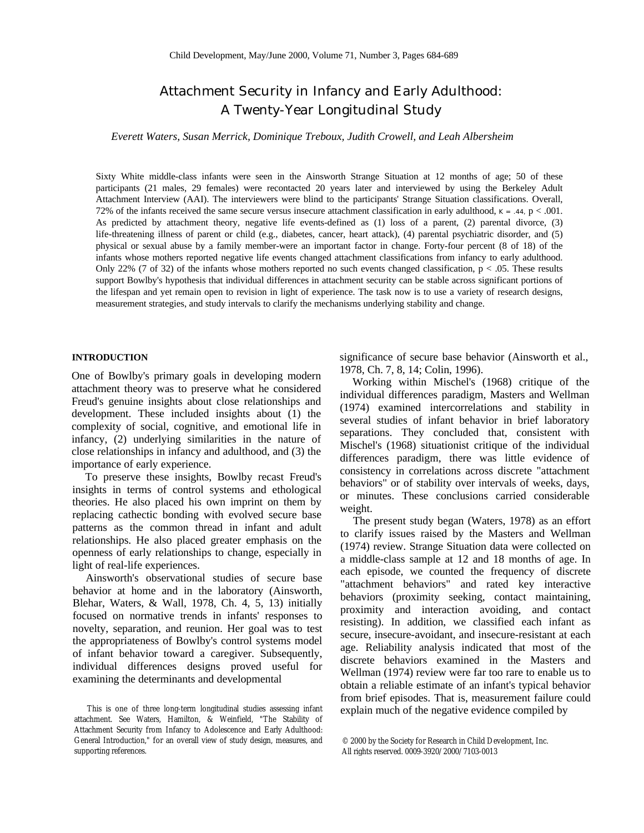# Attachment Security in Infancy and Early Adulthood: A Twenty-Year Longitudinal Study

*Everett Waters, Susan Merrick, Dominique Treboux, Judith Crowell, and Leah Albersheim*

Sixty White middle-class infants were seen in the Ainsworth Strange Situation at 12 months of age; 50 of these participants (21 males, 29 females) were recontacted 20 years later and interviewed by using the Berkeley Adult Attachment Interview (AAI). The interviewers were blind to the participants' Strange Situation classifications. Overall, 72% of the infants received the same secure versus insecure attachment classification in early adulthood,  $K = .44$ ,  $p < .001$ . As predicted by attachment theory, negative life events-defined as (1) loss of a parent, (2) parental divorce, (3) life-threatening illness of parent or child (e.g., diabetes, cancer, heart attack), (4) parental psychiatric disorder, and (5) physical or sexual abuse by a family member-were an important factor in change. Forty-four percent (8 of 18) of the infants whose mothers reported negative life events changed attachment classifications from infancy to early adulthood. Only 22% (7 of 32) of the infants whose mothers reported no such events changed classification,  $p < .05$ . These results support Bowlby's hypothesis that individual differences in attachment security can be stable across significant portions of the lifespan and yet remain open to revision in light of experience. The task now is to use a variety of research designs, measurement strategies, and study intervals to clarify the mechanisms underlying stability and change.

#### **INTRODUCTION**

One of Bowlby's primary goals in developing modern attachment theory was to preserve what he considered Freud's genuine insights about close relationships and development. These included insights about (1) the complexity of social, cognitive, and emotional life in infancy, (2) underlying similarities in the nature of close relationships in infancy and adulthood, and (3) the importance of early experience.

To preserve these insights, Bowlby recast Freud's insights in terms of control systems and ethological theories. He also placed his own imprint on them by replacing cathectic bonding with evolved secure base patterns as the common thread in infant and adult relationships. He also placed greater emphasis on the openness of early relationships to change, especially in light of real-life experiences.

Ainsworth's observational studies of secure base behavior at home and in the laboratory (Ainsworth, Blehar, Waters, & Wall, 1978, Ch. 4, 5, 13) initially focused on normative trends in infants' responses to novelty, separation, and reunion. Her goal was to test the appropriateness of Bowlby's control systems model of infant behavior toward a caregiver. Subsequently, individual differences designs proved useful for examining the determinants and developmental

significance of secure base behavior (Ainsworth et al., 1978, Ch. 7, 8, 14; Colin, 1996).

Working within Mischel's (1968) critique of the individual differences paradigm, Masters and Wellman (1974) examined intercorrelations and stability in several studies of infant behavior in brief laboratory separations. They concluded that, consistent with Mischel's (1968) situationist critique of the individual differences paradigm, there was little evidence of consistency in correlations across discrete "attachment behaviors" or of stability over intervals of weeks, days, or minutes. These conclusions carried considerable weight.

The present study began (Waters, 1978) as an effort to clarify issues raised by the Masters and Wellman (1974) review. Strange Situation data were collected on a middle-class sample at 12 and 18 months of age. In each episode, we counted the frequency of discrete "attachment behaviors" and rated key interactive behaviors (proximity seeking, contact maintaining, proximity and interaction avoiding, and contact resisting). In addition, we classified each infant as secure, insecure-avoidant, and insecure-resistant at each age. Reliability analysis indicated that most of the discrete behaviors examined in the Masters and Wellman (1974) review were far too rare to enable us to obtain a reliable estimate of an infant's typical behavior from brief episodes. That is, measurement failure could explain much of the negative evidence compiled by

This is one of three long-term longitudinal studies assessing infant attachment. See Waters, Hamilton, & Weinfield, "The Stability of Attachment Security from Infancy to Adolescence and Early Adulthood: General Introduction," for an overall view of study design, measures, and supporting references.

<sup>© 2000</sup> by the Society for Research in Child Development, Inc. All rights reserved. 0009-3920/2000/7103-0013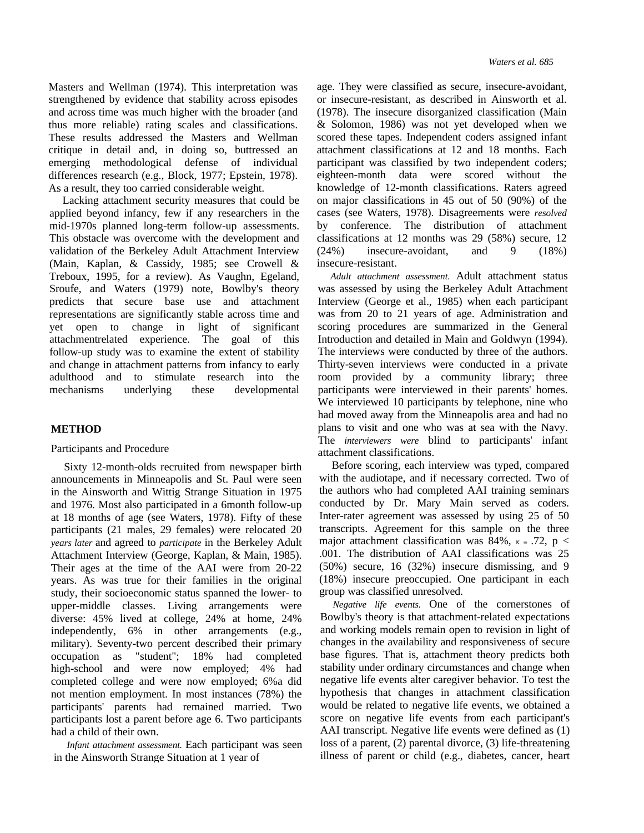Masters and Wellman (1974). This interpretation was strengthened by evidence that stability across episodes and across time was much higher with the broader (and thus more reliable) rating scales and classifications. These results addressed the Masters and Wellman critique in detail and, in doing so, buttressed an emerging methodological defense of individual differences research (e.g., Block, 1977; Epstein, 1978). As a result, they too carried considerable weight.

Lacking attachment security measures that could be applied beyond infancy, few if any researchers in the mid-1970s planned long-term follow-up assessments. This obstacle was overcome with the development and validation of the Berkeley Adult Attachment Interview (Main, Kaplan, & Cassidy, 1985; see Crowell & Treboux, 1995, for a review). As Vaughn, Egeland, Sroufe, and Waters (1979) note, Bowlby's theory predicts that secure base use and attachment representations are significantly stable across time and yet open to change in light of significant attachmentrelated experience. The goal of this follow-up study was to examine the extent of stability and change in attachment patterns from infancy to early adulthood and to stimulate research into the mechanisms underlying these developmental

### **METHOD**

#### Participants and Procedure

Sixty 12-month-olds recruited from newspaper birth announcements in Minneapolis and St. Paul were seen in the Ainsworth and Wittig Strange Situation in 1975 and 1976. Most also participated in a 6month follow-up at 18 months of age (see Waters, 1978). Fifty of these participants (21 males, 29 females) were relocated 20 *years later* and agreed to *participate* in the Berkeley Adult Attachment Interview (George, Kaplan, & Main, 1985). Their ages at the time of the AAI were from 20-22 years. As was true for their families in the original study, their socioeconomic status spanned the lower- to upper-middle classes. Living arrangements were diverse: 45% lived at college, 24% at home, 24% independently, 6% in other arrangements (e.g., military). Seventy-two percent described their primary occupation as "student"; 18% had completed high-school and were now employed; 4% had completed college and were now employed; 6%a did not mention employment. In most instances (78%) the participants' parents had remained married. Two participants lost a parent before age 6. Two participants had a child of their own.

*Infant attachment assessment.* Each participant was seen in the Ainsworth Strange Situation at 1 year of

age. They were classified as secure, insecure-avoidant, or insecure-resistant, as described in Ainsworth et al. (1978). The insecure disorganized classification (Main & Solomon, 1986) was not yet developed when we scored these tapes. Independent coders assigned infant attachment classifications at 12 and 18 months. Each participant was classified by two independent coders; eighteen-month data were scored without the knowledge of 12-month classifications. Raters agreed on major classifications in 45 out of 50 (90%) of the cases (see Waters, 1978). Disagreements were *resolved* by conference. The distribution of attachment classifications at 12 months was 29 (58%) secure, 12 (24%) insecure-avoidant, and 9 (18%) insecure-resistant.

*Adult attachment assessment.* Adult attachment status was assessed by using the Berkeley Adult Attachment Interview (George et al., 1985) when each participant was from 20 to 21 years of age. Administration and scoring procedures are summarized in the General Introduction and detailed in Main and Goldwyn (1994). The interviews were conducted by three of the authors. Thirty-seven interviews were conducted in a private room provided by a community library; three participants were interviewed in their parents' homes. We interviewed 10 participants by telephone, nine who had moved away from the Minneapolis area and had no plans to visit and one who was at sea with the Navy. The *interviewers were* blind to participants' infant attachment classifications.

Before scoring, each interview was typed, compared with the audiotape, and if necessary corrected. Two of the authors who had completed AAI training seminars conducted by Dr. Mary Main served as coders. Inter-rater agreement was assessed by using 25 of 50 transcripts. Agreement for this sample on the three major attachment classification was 84%,  $\kappa = .72$ , p < .001. The distribution of AAI classifications was 25 (50%) secure, 16 (32%) insecure dismissing, and 9 (18%) insecure preoccupied. One participant in each group was classified unresolved.

*Negative life events.* One of the cornerstones of Bowlby's theory is that attachment-related expectations and working models remain open to revision in light of changes in the availability and responsiveness of secure base figures. That is, attachment theory predicts both stability under ordinary circumstances and change when negative life events alter caregiver behavior. To test the hypothesis that changes in attachment classification would be related to negative life events, we obtained a score on negative life events from each participant's AAI transcript. Negative life events were defined as (1) loss of a parent, (2) parental divorce, (3) life-threatening illness of parent or child (e.g., diabetes, cancer, heart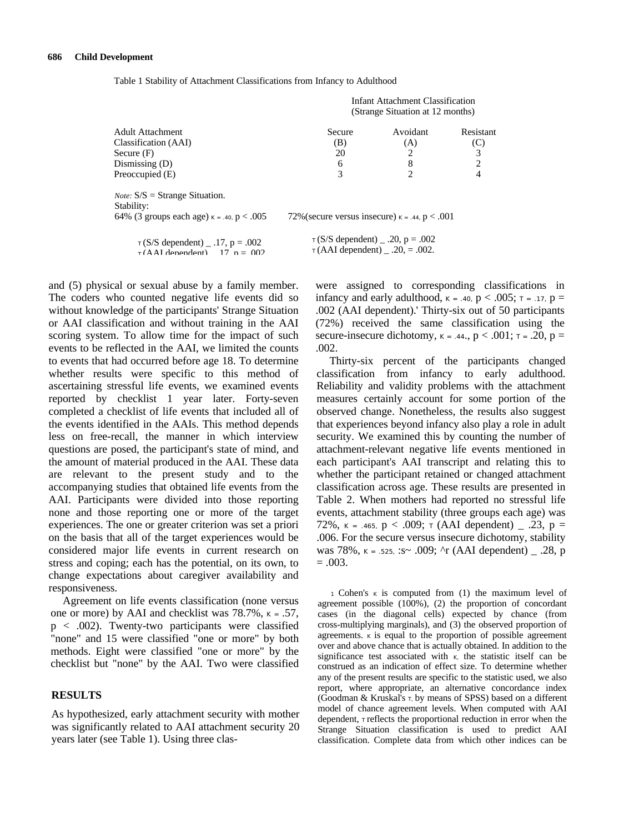Table 1 Stability of Attachment Classifications from Infancy to Adulthood

|                                                       | <b>Infant Attachment Classification</b><br>(Strange Situation at 12 months) |                                          |           |
|-------------------------------------------------------|-----------------------------------------------------------------------------|------------------------------------------|-----------|
| Adult Attachment                                      | Secure                                                                      | Avoidant                                 | Resistant |
| Classification (AAI)                                  | (B)                                                                         | (A)                                      | (C)       |
| Secure $(F)$                                          | 20                                                                          | 2                                        | 3         |
| Dismissing $(D)$                                      | 6                                                                           | 8                                        | 2         |
| Preoccupied $(E)$                                     | 3                                                                           | 2                                        | 4         |
| <i>Note:</i> $S/S =$ Strange Situation.<br>Stability: |                                                                             |                                          |           |
| 64% (3 groups each age) $\kappa = .40$ , $p < .005$   | 72% (secure versus insecure) $\kappa = .44$ , $p < .001$                    |                                          |           |
|                                                       |                                                                             | $\tau$ (S/S dependent) $\tau$ 00 n = 002 |           |

 $\tau$  (S/S dependent)  $\_$ .17, p = .002  $\tau$ (AAI dependent)  $17$ , n = 002

 $T(S/S$  dependent)  $20, p = .002$  $_{\text{T}}$ (AAI dependent) \_ .20, = .002.

and (5) physical or sexual abuse by a family member. The coders who counted negative life events did so without knowledge of the participants' Strange Situation or AAI classification and without training in the AAI scoring system. To allow time for the impact of such events to be reflected in the AAI, we limited the counts to events that had occurred before age 18. To determine whether results were specific to this method of ascertaining stressful life events, we examined events reported by checklist 1 year later. Forty-seven completed a checklist of life events that included all of the events identified in the AAIs. This method depends less on free-recall, the manner in which interview questions are posed, the participant's state of mind, and the amount of material produced in the AAI. These data are relevant to the present study and to the accompanying studies that obtained life events from the AAI. Participants were divided into those reporting none and those reporting one or more of the target experiences. The one or greater criterion was set a priori on the basis that all of the target experiences would be considered major life events in current research on stress and coping; each has the potential, on its own, to change expectations about caregiver availability and responsiveness.

Agreement on life events classification (none versus one or more) by AAI and checklist was  $78.7\%$ ,  $\kappa = .57$ , p < .002). Twenty-two participants were classified "none" and 15 were classified "one or more" by both methods. Eight were classified "one or more" by the checklist but "none" by the AAI. Two were classified

## **RESULTS**

As hypothesized, early attachment security with mother was significantly related to AAI attachment security 20 years later (see Table 1). Using three claswere assigned to corresponding classifications in infancy and early adulthood,  $K = .40$ ,  $p < .005$ ;  $T = .17$ ,  $p =$ .002 (AAI dependent).' Thirty-six out of 50 participants (72%) received the same classification using the secure-insecure dichotomy,  $\kappa = .44$ .,  $p < .001$ ;  $\tau = .20$ ,  $p =$ .002.

Thirty-six percent of the participants changed classification from infancy to early adulthood. Reliability and validity problems with the attachment measures certainly account for some portion of the observed change. Nonetheless, the results also suggest that experiences beyond infancy also play a role in adult security. We examined this by counting the number of attachment-relevant negative life events mentioned in each participant's AAI transcript and relating this to whether the participant retained or changed attachment classification across age. These results are presented in Table 2. When mothers had reported no stressful life events, attachment stability (three groups each age) was 72%,  $\kappa$  = .465,  $p < .009$ ;  $\tau$  (AAI dependent) \_ .23,  $p =$ .006. For the secure versus insecure dichotomy, stability was 78%,  $\kappa = .525$ , :s~ .009;  $\gamma$  (AAI dependent) \_ .28, p  $= .003.$ 

 $1$  Cohen's  $\kappa$  is computed from (1) the maximum level of agreement possible  $(100\%)$ ,  $(2)$  the proportion of concordant cases (in the diagonal cells) expected by chance (from cross-multiplying marginals), and (3) the observed proportion of agreements.  $\kappa$  is equal to the proportion of possible agreement over and above chance that is actually obtained. In addition to the significance test associated with  $\kappa$ , the statistic itself can be construed as an indication of effect size. To determine whether any of the present results are specific to the statistic used, we also report, where appropriate, an alternative concordance index (Goodman & Kruskal's  $\tau$ , by means of SPSS) based on a different model of chance agreement levels. When computed with AAI dependent,  $\tau$  reflects the proportional reduction in error when the Strange Situation classification is used to predict AAI classification. Complete data from which other indices can be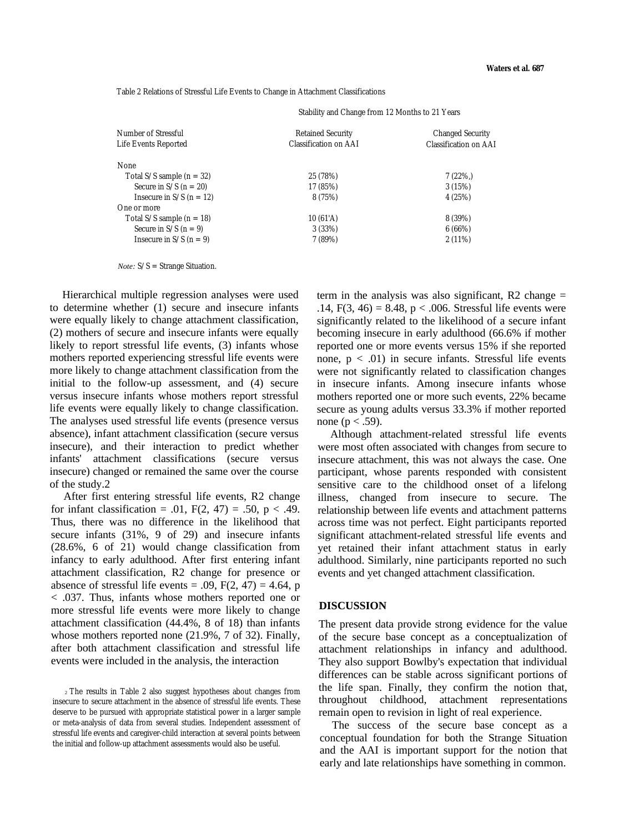Table 2 Relations of Stressful Life Events to Change in Attachment Classifications

| Number of Stressful<br>Life Events Reported | <b>Retained Security</b><br><b>Classification on AAI</b> | <b>Changed Security</b><br>Classification on AAI |
|---------------------------------------------|----------------------------------------------------------|--------------------------------------------------|
| None                                        |                                                          |                                                  |
| Total S/S sample $(n = 32)$                 | 25 (78%)                                                 | $7(22\%)$                                        |
| Secure in $S/S$ (n = 20)                    | 17 (85%)                                                 | 3(15%)                                           |
| Insecure in $S/S$ (n = 12)                  | 8 (75%)                                                  | 4(25%)                                           |
| One or more                                 |                                                          |                                                  |
| Total $S/S$ sample $(n = 18)$               | 10(61'A)                                                 | 8 (39%)                                          |
| Secure in $S/S$ (n = 9)                     | 3(33%)                                                   | 6(66%)                                           |
| Insecure in $S/S$ (n = 9)                   | 7(89%)                                                   | 2(11%)                                           |
|                                             |                                                          |                                                  |

Stability and Change from 12 Months to 21 Years

*Note:* S/S = Strange Situation.

Hierarchical multiple regression analyses were used to determine whether (1) secure and insecure infants were equally likely to change attachment classification, (2) mothers of secure and insecure infants were equally likely to report stressful life events, (3) infants whose mothers reported experiencing stressful life events were more likely to change attachment classification from the initial to the follow-up assessment, and (4) secure versus insecure infants whose mothers report stressful life events were equally likely to change classification. The analyses used stressful life events (presence versus absence), infant attachment classification (secure versus insecure), and their interaction to predict whether infants' attachment classifications (secure versus insecure) changed or remained the same over the course of the study.2

After first entering stressful life events, R2 change for infant classification = .01,  $F(2, 47) = .50$ ,  $p < .49$ . Thus, there was no difference in the likelihood that secure infants (31%, 9 of 29) and insecure infants (28.6%, 6 of 21) would change classification from infancy to early adulthood. After first entering infant attachment classification, R2 change for presence or absence of stressful life events = .09,  $F(2, 47) = 4.64$ , p < .037. Thus, infants whose mothers reported one or more stressful life events were more likely to change attachment classification (44.4%, 8 of 18) than infants whose mothers reported none (21.9%, 7 of 32). Finally, after both attachment classification and stressful life events were included in the analysis, the interaction

<sup>2</sup>The results in Table 2 also suggest hypotheses about changes from insecure to secure attachment in the absence of stressful life events. These deserve to be pursued with appropriate statistical power in a larger sample or meta-analysis of data from several studies. Independent assessment of stressful life events and caregiver-child interaction at several points between the initial and follow-up attachment assessments would also be useful.

term in the analysis was also significant,  $R2$  change = .14,  $F(3, 46) = 8.48$ ,  $p < .006$ . Stressful life events were significantly related to the likelihood of a secure infant becoming insecure in early adulthood (66.6% if mother reported one or more events versus 15% if she reported none,  $p < .01$ ) in secure infants. Stressful life events were not significantly related to classification changes in insecure infants. Among insecure infants whose mothers reported one or more such events, 22% became secure as young adults versus 33.3% if mother reported none ( $p < .59$ ).

Although attachment-related stressful life events were most often associated with changes from secure to insecure attachment, this was not always the case. One participant, whose parents responded with consistent sensitive care to the childhood onset of a lifelong illness, changed from insecure to secure. The relationship between life events and attachment patterns across time was not perfect. Eight participants reported significant attachment-related stressful life events and yet retained their infant attachment status in early adulthood. Similarly, nine participants reported no such events and yet changed attachment classification.

#### **DISCUSSION**

The present data provide strong evidence for the value of the secure base concept as a conceptualization of attachment relationships in infancy and adulthood. They also support Bowlby's expectation that individual differences can be stable across significant portions of the life span. Finally, they confirm the notion that, throughout childhood, attachment representations remain open to revision in light of real experience.

The success of the secure base concept as a conceptual foundation for both the Strange Situation and the AAI is important support for the notion that early and late relationships have something in common.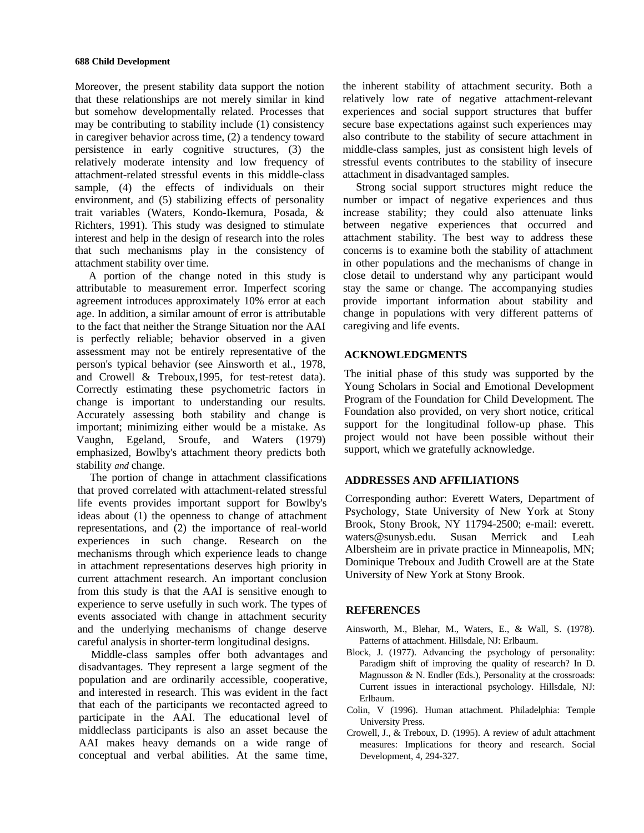#### **688 Child Development**

Moreover, the present stability data support the notion that these relationships are not merely similar in kind but somehow developmentally related. Processes that may be contributing to stability include (1) consistency in caregiver behavior across time, (2) a tendency toward persistence in early cognitive structures, (3) the relatively moderate intensity and low frequency of attachment-related stressful events in this middle-class sample, (4) the effects of individuals on their environment, and (5) stabilizing effects of personality trait variables (Waters, Kondo-Ikemura, Posada, & Richters, 1991). This study was designed to stimulate interest and help in the design of research into the roles that such mechanisms play in the consistency of attachment stability over time.

A portion of the change noted in this study is attributable to measurement error. Imperfect scoring agreement introduces approximately 10% error at each age. In addition, a similar amount of error is attributable to the fact that neither the Strange Situation nor the AAI is perfectly reliable; behavior observed in a given assessment may not be entirely representative of the person's typical behavior (see Ainsworth et al., 1978, and Crowell & Treboux,1995, for test-retest data). Correctly estimating these psychometric factors in change is important to understanding our results. Accurately assessing both stability and change is important; minimizing either would be a mistake. As Vaughn, Egeland, Sroufe, and Waters (1979) emphasized, Bowlby's attachment theory predicts both stability *and* change.

The portion of change in attachment classifications that proved correlated with attachment-related stressful life events provides important support for Bowlby's ideas about (1) the openness to change of attachment representations, and (2) the importance of real-world experiences in such change. Research on the mechanisms through which experience leads to change in attachment representations deserves high priority in current attachment research. An important conclusion from this study is that the AAI is sensitive enough to experience to serve usefully in such work. The types of events associated with change in attachment security and the underlying mechanisms of change deserve careful analysis in shorter-term longitudinal designs.

Middle-class samples offer both advantages and disadvantages. They represent a large segment of the population and are ordinarily accessible, cooperative, and interested in research. This was evident in the fact that each of the participants we recontacted agreed to participate in the AAI. The educational level of middleclass participants is also an asset because the AAI makes heavy demands on a wide range of conceptual and verbal abilities. At the same time,

the inherent stability of attachment security. Both a relatively low rate of negative attachment-relevant experiences and social support structures that buffer secure base expectations against such experiences may also contribute to the stability of secure attachment in middle-class samples, just as consistent high levels of stressful events contributes to the stability of insecure attachment in disadvantaged samples.

Strong social support structures might reduce the number or impact of negative experiences and thus increase stability; they could also attenuate links between negative experiences that occurred and attachment stability. The best way to address these concerns is to examine both the stability of attachment in other populations and the mechanisms of change in close detail to understand why any participant would stay the same or change. The accompanying studies provide important information about stability and change in populations with very different patterns of caregiving and life events.

## **ACKNOWLEDGMENTS**

The initial phase of this study was supported by the Young Scholars in Social and Emotional Development Program of the Foundation for Child Development. The Foundation also provided, on very short notice, critical support for the longitudinal follow-up phase. This project would not have been possible without their support, which we gratefully acknowledge.

## **ADDRESSES AND AFFILIATIONS**

Corresponding author: Everett Waters, Department of Psychology, State University of New York at Stony Brook, Stony Brook, NY 11794-2500; e-mail: everett. waters@sunysb.edu. Susan Merrick and Leah Albersheim are in private practice in Minneapolis, MN; Dominique Treboux and Judith Crowell are at the State University of New York at Stony Brook.

## **REFERENCES**

- Ainsworth, M., Blehar, M., Waters, E., & Wall, S. (1978). Patterns of attachment. Hillsdale, NJ: Erlbaum.
- Block, J. (1977). Advancing the psychology of personality: Paradigm shift of improving the quality of research? In D. Magnusson & N. Endler (Eds.), Personality at the crossroads: Current issues in interactional psychology. Hillsdale, NJ: Erlbaum.
- Colin, V (1996). Human attachment. Philadelphia: Temple University Press.
- Crowell, J., & Treboux, D. (1995). A review of adult attachment measures: Implications for theory and research. Social Development, 4, 294-327.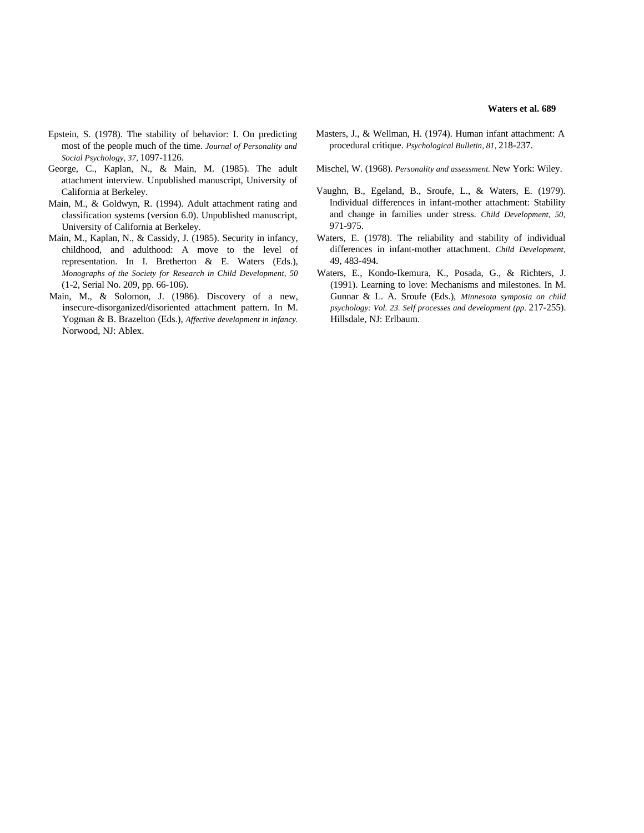- Epstein, S. (1978). The stability of behavior: I. On predicting most of the people much of the time. *Journal of Personality and Social Psychology, 37,* 1097-1126.
- George, C., Kaplan, N., & Main, M. (1985). The adult attachment interview. Unpublished manuscript, University of California at Berkeley.
- Main, M., & Goldwyn, R. (1994). Adult attachment rating and classification systems (version 6.0). Unpublished manuscript, University of California at Berkeley.
- Main, M., Kaplan, N., & Cassidy, J. (1985). Security in infancy, childhood, and adulthood: A move to the level of representation. In I. Bretherton & E. Waters (Eds.), *Monographs of the Society for Research in Child Development, 50* (1-2, Serial No. 209, pp. 66-106).
- Main, M., & Solomon, J. (1986). Discovery of a new, insecure-disorganized/disoriented attachment pattern. In M. Yogman & B. Brazelton (Eds.), *Affective development in infancy.* Norwood, NJ: Ablex.
- Masters, J., & Wellman, H. (1974). Human infant attachment: A procedural critique. *Psychological Bulletin, 81,* 218-237.
- Mischel, W. (1968). *Personality and assessment.* New York: Wiley.
- Vaughn, B., Egeland, B., Sroufe, L., & Waters, E. (1979). Individual differences in infant-mother attachment: Stability and change in families under stress. *Child Development, 50,* 971-975.
- Waters, E. (1978). The reliability and stability of individual differences in infant-mother attachment. *Child Development,* 49, 483-494.
- Waters, E., Kondo-Ikemura, K., Posada, G., & Richters, J. (1991). Learning to love: Mechanisms and milestones. In M. Gunnar & L. A. Sroufe (Eds.), *Minnesota symposia on child psychology: Vol. 23. Self processes and development (pp.* 217-255). Hillsdale, NJ: Erlbaum.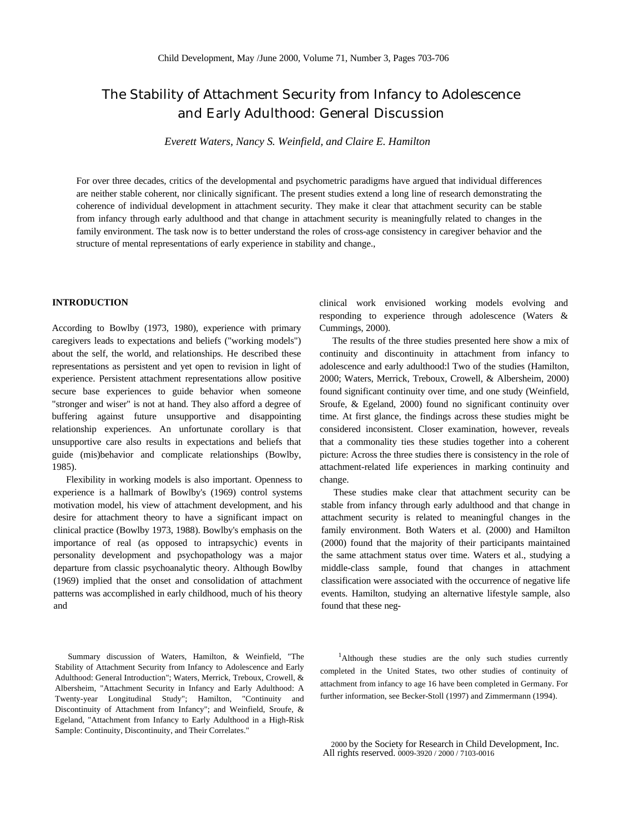## The Stability of Attachment Security from Infancy to Adolescence and Early Adulthood: General Discussion

*Everett Waters, Nancy S. Weinfield, and Claire E. Hamilton*

For over three decades, critics of the developmental and psychometric paradigms have argued that individual differences are neither stable coherent, nor clinically significant. The present studies extend a long line of research demonstrating the coherence of individual development in attachment security. They make it clear that attachment security can be stable from infancy through early adulthood and that change in attachment security is meaningfully related to changes in the family environment. The task now is to better understand the roles of cross-age consistency in caregiver behavior and the structure of mental representations of early experience in stability and change.,

#### **INTRODUCTION**

According to Bowlby (1973, 1980), experience with primary caregivers leads to expectations and beliefs ("working models") about the self, the world, and relationships. He described these representations as persistent and yet open to revision in light of experience. Persistent attachment representations allow positive secure base experiences to guide behavior when someone "stronger and wiser" is not at hand. They also afford a degree of buffering against future unsupportive and disappointing relationship experiences. An unfortunate corollary is that unsupportive care also results in expectations and beliefs that guide (mis)behavior and complicate relationships (Bowlby, 1985).

Flexibility in working models is also important. Openness to experience is a hallmark of Bowlby's (1969) control systems motivation model, his view of attachment development, and his desire for attachment theory to have a significant impact on clinical practice (Bowlby 1973, 1988). Bowlby's emphasis on the importance of real (as opposed to intrapsychic) events in personality development and psychopathology was a major departure from classic psychoanalytic theory. Although Bowlby (1969) implied that the onset and consolidation of attachment patterns was accomplished in early childhood, much of his theory and

clinical work envisioned working models evolving and responding to experience through adolescence (Waters & Cummings, 2000).

The results of the three studies presented here show a mix of continuity and discontinuity in attachment from infancy to adolescence and early adulthood:l Two of the studies (Hamilton, 2000; Waters, Merrick, Treboux, Crowell, & Albersheim, 2000) found significant continuity over time, and one study (Weinfield, Sroufe, & Egeland, 2000) found no significant continuity over time. At first glance, the findings across these studies might be considered inconsistent. Closer examination, however, reveals that a commonality ties these studies together into a coherent picture: Across the three studies there is consistency in the role of attachment-related life experiences in marking continuity and change.

These studies make clear that attachment security can be stable from infancy through early adulthood and that change in attachment security is related to meaningful changes in the family environment. Both Waters et al. (2000) and Hamilton (2000) found that the majority of their participants maintained the same attachment status over time. Waters et al., studying a middle-class sample, found that changes in attachment classification were associated with the occurrence of negative life events. Hamilton, studying an alternative lifestyle sample, also found that these neg-

Summary discussion of Waters, Hamilton, & Weinfield, "The Stability of Attachment Security from Infancy to Adolescence and Early Adulthood: General Introduction"; Waters, Merrick, Treboux, Crowell, & Albersheim, "Attachment Security in Infancy and Early Adulthood: A Twenty-year Longitudinal Study"; Hamilton, "Continuity and Discontinuity of Attachment from Infancy"; and Weinfield, Sroufe, & Egeland, "Attachment from Infancy to Early Adulthood in a High-Risk Sample: Continuity, Discontinuity, and Their Correlates."

<sup>1</sup>Although these studies are the only such studies currently completed in the United States, two other studies of continuity of attachment from infancy to age 16 have been completed in Germany. For further information, see Becker-Stoll (1997) and Zimmermann (1994).

2000 by the Society for Research in Child Development, Inc. All rights reserved. 0009-3920 / 2000 / 7103-0016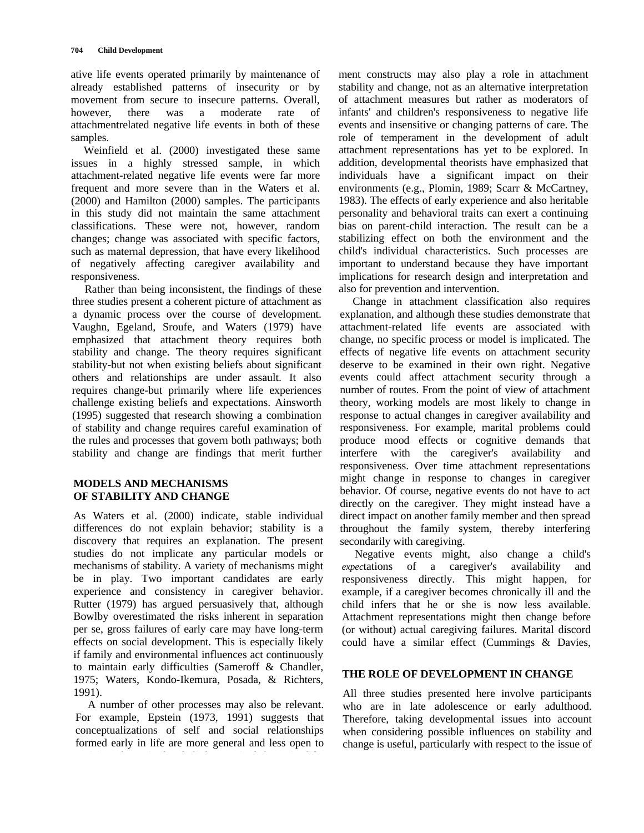ative life events operated primarily by maintenance of already established patterns of insecurity or by movement from secure to insecure patterns. Overall, however, there was a moderate rate of attachmentrelated negative life events in both of these samples.

Weinfield et al. (2000) investigated these same issues in a highly stressed sample, in which attachment-related negative life events were far more frequent and more severe than in the Waters et al. (2000) and Hamilton (2000) samples. The participants in this study did not maintain the same attachment classifications. These were not, however, random changes; change was associated with specific factors, such as maternal depression, that have every likelihood of negatively affecting caregiver availability and responsiveness.

Rather than being inconsistent, the findings of these three studies present a coherent picture of attachment as a dynamic process over the course of development. Vaughn, Egeland, Sroufe, and Waters (1979) have emphasized that attachment theory requires both stability and change. The theory requires significant stability-but not when existing beliefs about significant others and relationships are under assault. It also requires change-but primarily where life experiences challenge existing beliefs and expectations. Ainsworth (1995) suggested that research showing a combination of stability and change requires careful examination of the rules and processes that govern both pathways; both stability and change are findings that merit further

## **MODELS AND MECHANISMS OF STABILITY AND CHANGE**

As Waters et al. (2000) indicate, stable individual differences do not explain behavior; stability is a discovery that requires an explanation. The present studies do not implicate any particular models or mechanisms of stability. A variety of mechanisms might be in play. Two important candidates are early experience and consistency in caregiver behavior. Rutter (1979) has argued persuasively that, although Bowlby overestimated the risks inherent in separation per se, gross failures of early care may have long-term effects on social development. This is especially likely if family and environmental influences act continuously to maintain early difficulties (Sameroff & Chandler, 1975; Waters, Kondo-Ikemura, Posada, & Richters, 1991).

A number of other processes may also be relevant. For example, Epstein (1973, 1991) suggests that conceptualizations of self and social relationships formed early in life are more general and less open to

ment constructs may also play a role in attachment stability and change, not as an alternative interpretation of attachment measures but rather as moderators of infants' and children's responsiveness to negative life events and insensitive or changing patterns of care. The role of temperament in the development of adult attachment representations has yet to be explored. In addition, developmental theorists have emphasized that individuals have a significant impact on their environments (e.g., Plomin, 1989; Scarr & McCartney, 1983). The effects of early experience and also heritable personality and behavioral traits can exert a continuing bias on parent-child interaction. The result can be a stabilizing effect on both the environment and the child's individual characteristics. Such processes are important to understand because they have important implications for research design and interpretation and also for prevention and intervention.

Change in attachment classification also requires explanation, and although these studies demonstrate that attachment-related life events are associated with change, no specific process or model is implicated. The effects of negative life events on attachment security deserve to be examined in their own right. Negative events could affect attachment security through a number of routes. From the point of view of attachment theory, working models are most likely to change in response to actual changes in caregiver availability and responsiveness. For example, marital problems could produce mood effects or cognitive demands that interfere with the caregiver's availability and responsiveness. Over time attachment representations might change in response to changes in caregiver behavior. Of course, negative events do not have to act directly on the caregiver. They might instead have a direct impact on another family member and then spread throughout the family system, thereby interfering secondarily with caregiving.

Negative events might, also change a child's *expec*tations of a caregiver's availability and responsiveness directly. This might happen, for example, if a caregiver becomes chronically ill and the child infers that he or she is now less available. Attachment representations might then change before (or without) actual caregiving failures. Marital discord could have a similar effect (Cummings & Davies,

## **THE ROLE OF DEVELOPMENT IN CHANGE**

All three studies presented here involve participants who are in late adolescence or early adulthood. Therefore, taking developmental issues into account when considering possible influences on stability and change is useful, particularly with respect to the issue of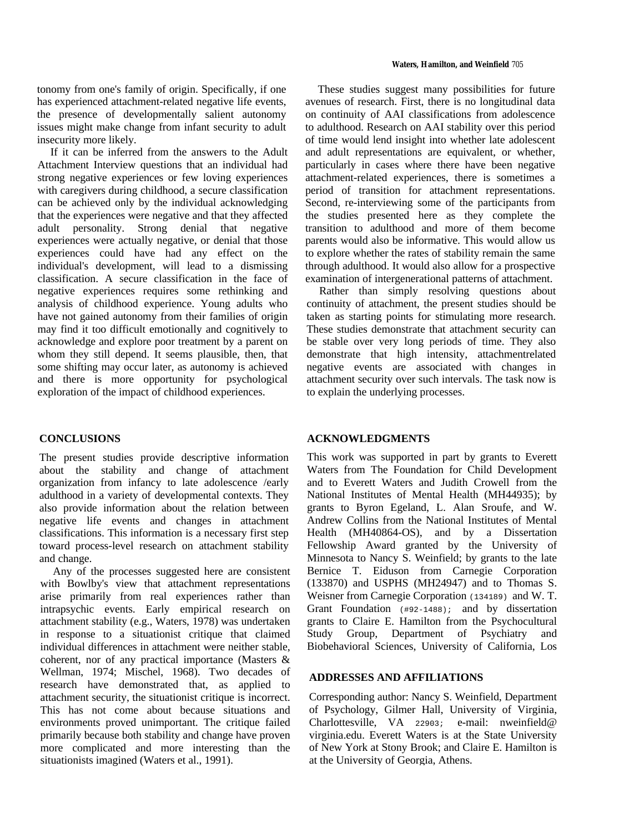tonomy from one's family of origin. Specifically, if one has experienced attachment-related negative life events, the presence of developmentally salient autonomy issues might make change from infant security to adult insecurity more likely.

If it can be inferred from the answers to the Adult Attachment Interview questions that an individual had strong negative experiences or few loving experiences with caregivers during childhood, a secure classification can be achieved only by the individual acknowledging that the experiences were negative and that they affected adult personality. Strong denial that negative experiences were actually negative, or denial that those experiences could have had any effect on the individual's development, will lead to a dismissing classification. A secure classification in the face of negative experiences requires some rethinking and analysis of childhood experience. Young adults who have not gained autonomy from their families of origin may find it too difficult emotionally and cognitively to acknowledge and explore poor treatment by a parent on whom they still depend. It seems plausible, then, that some shifting may occur later, as autonomy is achieved and there is more opportunity for psychological exploration of the impact of childhood experiences.

### **CONCLUSIONS**

The present studies provide descriptive information about the stability and change of attachment organization from infancy to late adolescence /early adulthood in a variety of developmental contexts. They also provide information about the relation between negative life events and changes in attachment classifications. This information is a necessary first step toward process-level research on attachment stability and change.

Any of the processes suggested here are consistent with Bowlby's view that attachment representations arise primarily from real experiences rather than intrapsychic events. Early empirical research on attachment stability (e.g., Waters, 1978) was undertaken in response to a situationist critique that claimed individual differences in attachment were neither stable, coherent, nor of any practical importance (Masters & Wellman, 1974; Mischel, 1968). Two decades of research have demonstrated that, as applied to attachment security, the situationist critique is incorrect. This has not come about because situations and environments proved unimportant. The critique failed primarily because both stability and change have proven more complicated and more interesting than the situationists imagined (Waters et al., 1991).

These studies suggest many possibilities for future avenues of research. First, there is no longitudinal data on continuity of AAI classifications from adolescence to adulthood. Research on AAI stability over this period of time would lend insight into whether late adolescent and adult representations are equivalent, or whether, particularly in cases where there have been negative attachment-related experiences, there is sometimes a period of transition for attachment representations. Second, re-interviewing some of the participants from the studies presented here as they complete the transition to adulthood and more of them become parents would also be informative. This would allow us to explore whether the rates of stability remain the same through adulthood. It would also allow for a prospective examination of intergenerational patterns of attachment.

Rather than simply resolving questions about continuity of attachment, the present studies should be taken as starting points for stimulating more research. These studies demonstrate that attachment security can be stable over very long periods of time. They also demonstrate that high intensity, attachmentrelated negative events are associated with changes in attachment security over such intervals. The task now is to explain the underlying processes.

### **ACKNOWLEDGMENTS**

This work was supported in part by grants to Everett Waters from The Foundation for Child Development and to Everett Waters and Judith Crowell from the National Institutes of Mental Health (MH44935); by grants to Byron Egeland, L. Alan Sroufe, and W. Andrew Collins from the National Institutes of Mental Health (MH40864-OS), and by a Dissertation Fellowship Award granted by the University of Minnesota to Nancy S. Weinfield; by grants to the late Bernice T. Eiduson from Carnegie Corporation (133870) and USPHS (MH24947) and to Thomas S. Weisner from Carnegie Corporation (134189) and W. T. Grant Foundation (#92-1488); and by dissertation grants to Claire E. Hamilton from the Psychocultural Study Group, Department of Psychiatry and Biobehavioral Sciences, University of California, Los

## **ADDRESSES AND AFFILIATIONS**

Corresponding author: Nancy S. Weinfield, Department of Psychology, Gilmer Hall, University of Virginia, Charlottesville, VA 22903; e-mail: nweinfield@ virginia.edu. Everett Waters is at the State University of New York at Stony Brook; and Claire E. Hamilton is at the University of Georgia, Athens.